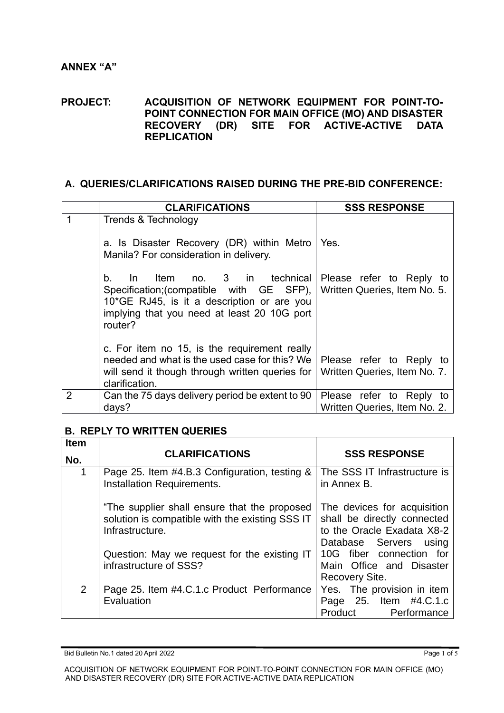#### **PROJECT: ACQUISITION OF NETWORK EQUIPMENT FOR POINT-TO-POINT CONNECTION FOR MAIN OFFICE (MO) AND DISASTER RECOVERY (DR) SITE FOR ACTIVE-ACTIVE DATA REPLICATION**

## **A. QUERIES/CLARIFICATIONS RAISED DURING THE PRE-BID CONFERENCE:**

|                | <b>CLARIFICATIONS</b>                                                                                                                                                                      | <b>SSS RESPONSE</b>                                      |
|----------------|--------------------------------------------------------------------------------------------------------------------------------------------------------------------------------------------|----------------------------------------------------------|
|                | Trends & Technology<br>a. Is Disaster Recovery (DR) within Metro<br>Manila? For consideration in delivery.                                                                                 | Yes.                                                     |
|                | Item no. 3 in technical<br>b.<br>$\ln$<br>Specification; (compatible with GE SFP),<br>10*GE RJ45, is it a description or are you<br>implying that you need at least 20 10G port<br>router? | Please refer to Reply to<br>Written Queries, Item No. 5. |
|                | c. For item no 15, is the requirement really<br>needed and what is the used case for this? We<br>will send it though through written queries for<br>clarification.                         | Please refer to Reply to<br>Written Queries, Item No. 7. |
| $\overline{2}$ | Can the 75 days delivery period be extent to 90<br>days?                                                                                                                                   | Please refer to Reply to<br>Written Queries, Item No. 2. |

#### **B. REPLY TO WRITTEN QUERIES**

| <b>Item</b> |                                                                                                                    |                                                                                                                    |
|-------------|--------------------------------------------------------------------------------------------------------------------|--------------------------------------------------------------------------------------------------------------------|
| No.         | <b>CLARIFICATIONS</b>                                                                                              | <b>SSS RESPONSE</b>                                                                                                |
| 1           | Page 25. Item #4.B.3 Configuration, testing &<br>Installation Requirements.                                        | The SSS IT Infrastructure is<br>in Annex B.                                                                        |
|             | "The supplier shall ensure that the proposed<br>solution is compatible with the existing SSS IT<br>Infrastructure. | The devices for acquisition<br>shall be directly connected<br>to the Oracle Exadata X8-2<br>Database Servers using |
|             | Question: May we request for the existing IT<br>infrastructure of SSS?                                             | 10G fiber connection for<br>Main Office and Disaster<br>Recovery Site.                                             |
| 2           | Page 25. Item #4.C.1.c Product Performance<br>Evaluation                                                           | Yes. The provision in item<br>Page 25. Item #4.C.1.c<br>Product<br>Performance                                     |

Bid Bulletin No.1 dated 20 April 2022 Page 1 of 5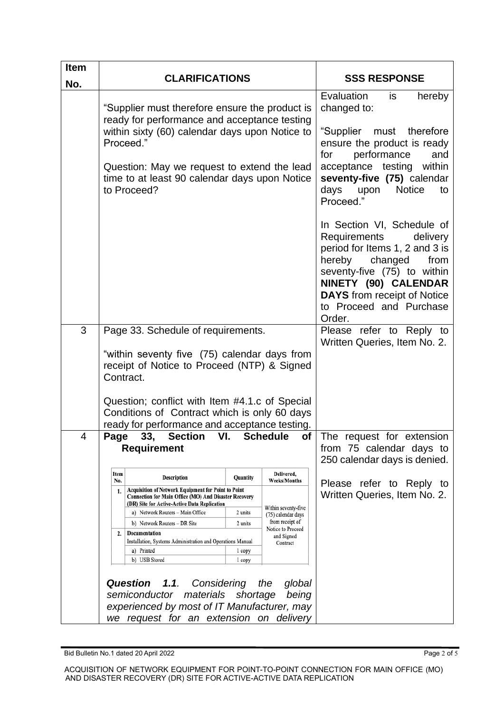| <b>Item</b><br>No. | <b>CLARIFICATIONS</b>                                                                                                                                                                                                                                                                                                                                                                                                                                                                                                 |                                                    | <b>SSS RESPONSE</b>                                                                                                                                                        |                                                                                                                                                                                                                                                                                                                                                                                                                                                                     |
|--------------------|-----------------------------------------------------------------------------------------------------------------------------------------------------------------------------------------------------------------------------------------------------------------------------------------------------------------------------------------------------------------------------------------------------------------------------------------------------------------------------------------------------------------------|----------------------------------------------------|----------------------------------------------------------------------------------------------------------------------------------------------------------------------------|---------------------------------------------------------------------------------------------------------------------------------------------------------------------------------------------------------------------------------------------------------------------------------------------------------------------------------------------------------------------------------------------------------------------------------------------------------------------|
|                    | "Supplier must therefore ensure the product is<br>ready for performance and acceptance testing<br>within sixty (60) calendar days upon Notice to<br>Proceed."<br>Question: May we request to extend the lead<br>time to at least 90 calendar days upon Notice<br>to Proceed?                                                                                                                                                                                                                                          |                                                    |                                                                                                                                                                            | Evaluation<br>is<br>hereby<br>changed to:<br>"Supplier must therefore<br>ensure the product is ready<br>performance<br>for<br>and<br>acceptance testing within<br>seventy-five (75) calendar<br>days<br>upon<br><b>Notice</b><br>to<br>Proceed."<br>In Section VI, Schedule of<br>Requirements<br>delivery<br>period for Items 1, 2 and 3 is<br>hereby changed<br>from<br>seventy-five (75) to within<br>NINETY (90) CALENDAR<br><b>DAYS</b> from receipt of Notice |
|                    |                                                                                                                                                                                                                                                                                                                                                                                                                                                                                                                       |                                                    |                                                                                                                                                                            | to Proceed and Purchase<br>Order.                                                                                                                                                                                                                                                                                                                                                                                                                                   |
| 3                  | Page 33. Schedule of requirements.<br>"within seventy five (75) calendar days from<br>receipt of Notice to Proceed (NTP) & Signed<br>Contract.<br>Question; conflict with Item #4.1.c of Special<br>Conditions of Contract which is only 60 days<br>ready for performance and acceptance testing.                                                                                                                                                                                                                     |                                                    |                                                                                                                                                                            | Please refer to Reply to<br>Written Queries, Item No. 2.                                                                                                                                                                                                                                                                                                                                                                                                            |
| 4                  | 33,<br>VI.<br><b>Section</b><br><b>Schedule</b><br>Page<br>of<br><b>Requirement</b>                                                                                                                                                                                                                                                                                                                                                                                                                                   |                                                    |                                                                                                                                                                            | The request for extension<br>from 75 calendar days to<br>250 calendar days is denied.                                                                                                                                                                                                                                                                                                                                                                               |
|                    | Item<br>Description<br>No.<br><b>Acquisition of Network Equipment for Point to Point</b><br>1.<br>Connection for Main Office (MO) And Disaster Recovery<br>(DR) Site for Active-Active Data Replication<br>a) Network Routers - Main Office<br>b) Network Routers - DR Site<br>Documentation<br>2.<br>Installation, Systems Administration and Operations Manual<br>a) Printed<br>b) USB Stored<br>Question<br>1.1.<br>Considering<br>semiconductor materials shortage<br>experienced by most of IT Manufacturer, may | Quantity<br>2 units<br>2 units<br>1 copy<br>1 copy | Delivered,<br><b>Weeks/Months</b><br>Within seventy-five<br>(75) calendar days<br>from receipt of<br>Notice to Proceed<br>and Signed<br>Contract<br>the<br>global<br>being | Please refer to Reply to<br>Written Queries, Item No. 2.                                                                                                                                                                                                                                                                                                                                                                                                            |
|                    | we request for an extension on delivery                                                                                                                                                                                                                                                                                                                                                                                                                                                                               |                                                    |                                                                                                                                                                            |                                                                                                                                                                                                                                                                                                                                                                                                                                                                     |

Bid Bulletin No.1 dated 20 April 2022 **Page 2 of 5** and 20 April 2022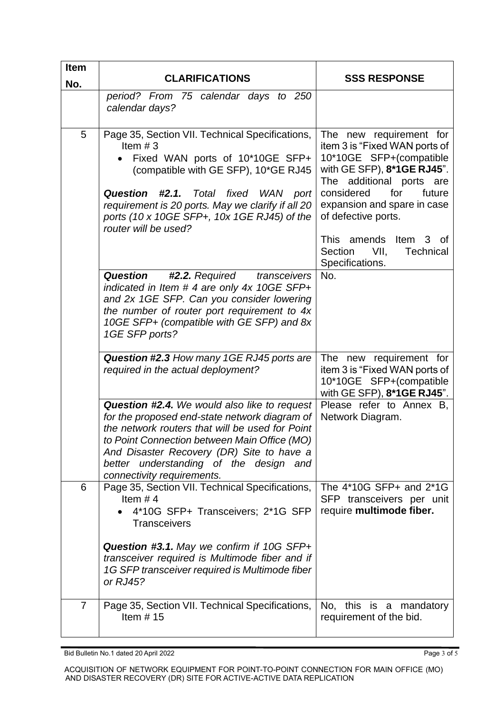| <b>Item</b>    | <b>CLARIFICATIONS</b>                                                                                                                                                                                                                                                                                                 | <b>SSS RESPONSE</b>                                                                                                                                                                                                                                                                                                   |
|----------------|-----------------------------------------------------------------------------------------------------------------------------------------------------------------------------------------------------------------------------------------------------------------------------------------------------------------------|-----------------------------------------------------------------------------------------------------------------------------------------------------------------------------------------------------------------------------------------------------------------------------------------------------------------------|
| No.            | period? From 75 calendar days to 250<br>calendar days?                                                                                                                                                                                                                                                                |                                                                                                                                                                                                                                                                                                                       |
| 5              | Page 35, Section VII. Technical Specifications,<br>Item $#3$<br>Fixed WAN ports of 10*10GE SFP+<br>(compatible with GE SFP), 10*GE RJ45<br>#2.1. Total fixed WAN port<br><b>Question</b><br>requirement is 20 ports. May we clarify if all 20<br>ports (10 x 10GE SFP+, 10x 1GE RJ45) of the<br>router will be used?  | The new requirement for<br>item 3 is "Fixed WAN ports of<br>10*10GE SFP+(compatible<br>with GE SFP), 8*1GE RJ45".<br>The additional ports are<br>considered<br>future<br>for<br>expansion and spare in case<br>of defective ports.<br>This amends Item 3 of<br>VII,<br>Section<br><b>Technical</b><br>Specifications. |
|                | Question<br><b>#2.2.</b> Required<br>transceivers<br>indicated in Item # 4 are only 4x 10GE SFP+<br>and 2x 1GE SFP. Can you consider lowering<br>the number of router port requirement to 4x<br>10GE SFP+ (compatible with GE SFP) and 8x<br>1GE SFP ports?                                                           | No.                                                                                                                                                                                                                                                                                                                   |
|                | Question #2.3 How many 1GE RJ45 ports are<br>required in the actual deployment?                                                                                                                                                                                                                                       | The new requirement for<br>item 3 is "Fixed WAN ports of<br>10*10GE SFP+(compatible<br>with GE SFP), 8*1GE RJ45".                                                                                                                                                                                                     |
|                | Question #2.4. We would also like to request<br>for the proposed end-state network diagram of<br>the network routers that will be used for Point<br>to Point Connection between Main Office (MO)<br>And Disaster Recovery (DR) Site to have a<br>better understanding of the design and<br>connectivity requirements. | Please refer to Annex B,<br>Network Diagram.                                                                                                                                                                                                                                                                          |
| 6              | Page 35, Section VII. Technical Specifications,<br>Item $#4$<br>4*10G SFP+ Transceivers; 2*1G SFP<br><b>Transceivers</b>                                                                                                                                                                                              | The 4*10G SFP+ and 2*1G<br>SFP transceivers per unit<br>require multimode fiber.                                                                                                                                                                                                                                      |
|                | <b>Question #3.1.</b> May we confirm if 10G SFP+<br>transceiver required is Multimode fiber and if<br>1G SFP transceiver required is Multimode fiber<br>or RJ45?                                                                                                                                                      |                                                                                                                                                                                                                                                                                                                       |
| $\overline{7}$ | Page 35, Section VII. Technical Specifications,<br>Item $# 15$                                                                                                                                                                                                                                                        | No, this is a mandatory<br>requirement of the bid.                                                                                                                                                                                                                                                                    |

Bid Bulletin No.1 dated 20 April 2022 **Page 3 of 5** and 20 April 2022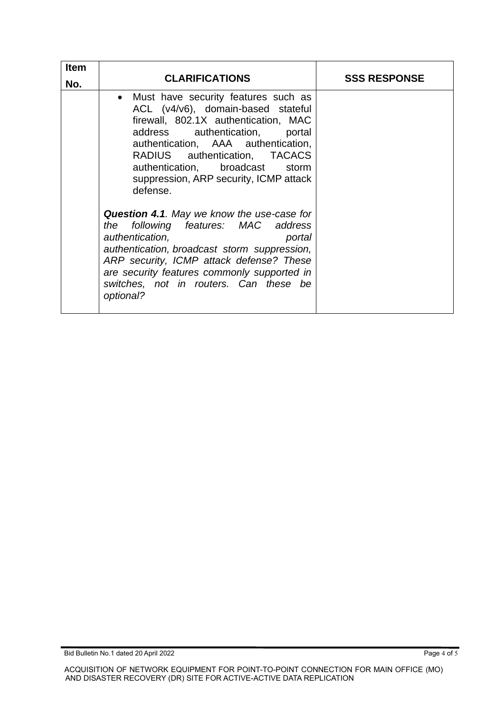| <b>Item</b><br>No. | <b>CLARIFICATIONS</b>                                                                                                                                                                                                                                                                                                      | <b>SSS RESPONSE</b> |
|--------------------|----------------------------------------------------------------------------------------------------------------------------------------------------------------------------------------------------------------------------------------------------------------------------------------------------------------------------|---------------------|
|                    | • Must have security features such as<br>ACL (v4/v6), domain-based stateful<br>firewall, 802.1X authentication, MAC<br>address authentication, portal<br>authentication, AAA authentication,<br>RADIUS authentication, TACACS<br>authentication, broadcast storm<br>suppression, ARP security, ICMP attack<br>defense.     |                     |
|                    | <b>Question 4.1.</b> May we know the use-case for<br>following features: MAC address<br>the<br>authentication,<br>portal<br>authentication, broadcast storm suppression,<br>ARP security, ICMP attack defense? These<br>are security features commonly supported in<br>switches, not in routers. Can these be<br>optional? |                     |